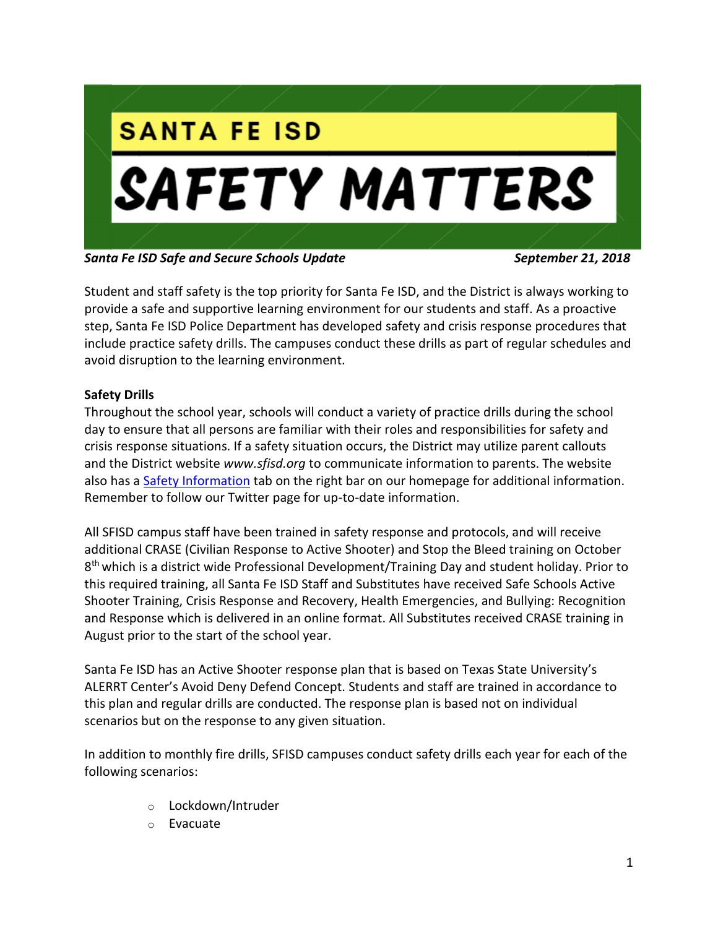

*Santa Fe ISD Safe and Secure Schools Update September 21, 2018*

Student and staff safety is the top priority for Santa Fe ISD, and the District is always working to provide a safe and supportive learning environment for our students and staff. As a proactive step, Santa Fe ISD Police Department has developed safety and crisis response procedures that include practice safety drills. The campuses conduct these drills as part of regular schedules and avoid disruption to the learning environment.

# **Safety Drills**

Throughout the school year, schools will conduct a variety of practice drills during the school day to ensure that all persons are familiar with their roles and responsibilities for safety and crisis response situations. If a safety situation occurs, the District may utilize parent callouts and the District website *[www.sfisd.org](http://www.sfisd.org/)* to communicate information to parents. The website also has a Safety Information tab on the right bar on our homepage for additional information. Remember to follow our Twitter page for up-to-date information.

All SFISD campus staff have been trained in safety response and protocols, and will receive additional CRASE (Civilian Response to Active Shooter) and Stop the Bleed training on October 8<sup>th</sup> which is a district wide Professional Development/Training Day and student holiday. Prior to this required training, all Santa Fe ISD Staff and Substitutes have received Safe Schools Active Shooter Training, Crisis Response and Recovery, Health Emergencies, and Bullying: Recognition and Response which is delivered in an online format. All Substitutes received CRASE training in August prior to the start of the school year.

Santa Fe ISD has an Active Shooter response plan that is based on Texas State University's ALERRT Center's Avoid Deny Defend Concept. Students and staff are trained in accordance to this plan and regular drills are conducted. The response plan is based not on individual scenarios but on the response to any given situation.

In addition to monthly fire drills, SFISD campuses conduct safety drills each year for each of the following scenarios:

- o Lockdown/Intruder
- o Evacuate